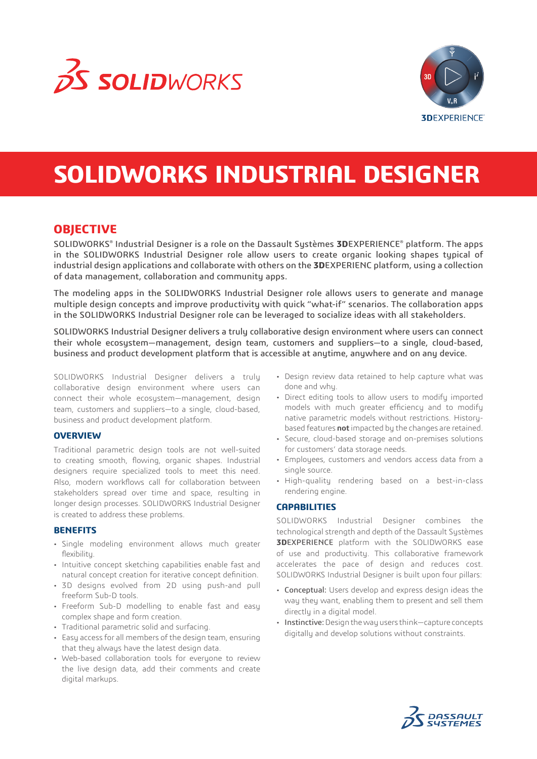



# **SOLIDWORKS INDUSTRIAL DESIGNER**

## **OBJECTIVE**

SOLIDWORKS® Industrial Designer is a role on the Dassault Sustèmes **3D**EXPERIENCE® platform. The apps in the SOLIDWORKS Industrial Designer role allow users to create organic looking shapes typical of industrial design applications and collaborate with others on the **3D**EXPERIENC platform, using a collection of data management, collaboration and community apps.

The modeling apps in the SOLIDWORKS Industrial Designer role allows users to generate and manage multiple design concepts and improve productivity with quick "what-if" scenarios. The collaboration apps in the SOLIDWORKS Industrial Designer role can be leveraged to socialize ideas with all stakeholders.

SOLIDWORKS Industrial Designer delivers a truly collaborative design environment where users can connect their whole ecosystem—management, design team, customers and suppliers—to a single, cloud-based, business and product development platform that is accessible at anytime, anywhere and on any device.

SOLIDWORKS Industrial Designer delivers a truly collaborative design environment where users can connect their whole ecosystem—management, design team, customers and suppliers—to a single, cloud-based, business and product development platform.

#### **OVERVIEW**

Traditional parametric design tools are not well-suited to creating smooth, flowing, organic shapes. Industrial designers require specialized tools to meet this need. Also, modern workflows call for collaboration between stakeholders spread over time and space, resulting in longer design processes. SOLIDWORKS Industrial Designer is created to address these problems.

#### **BENEFITS**

- Single modeling environment allows much greater flexibility.
- Intuitive concept sketching capabilities enable fast and natural concept creation for iterative concept definition.
- 3D designs evolved from 2D using push-and pull freeform Sub-D tools.
- Freeform Sub-D modelling to enable fast and easy complex shape and form creation.
- Traditional parametric solid and surfacing.
- Easy access for all members of the design team, ensuring that they always have the latest design data.
- Web-based collaboration tools for everyone to review the live design data, add their comments and create digital markups.
- Design review data retained to help capture what was done and whu.
- Direct editing tools to allow users to modify imported models with much greater efficiency and to modify native parametric models without restrictions. Historybased features **not** impacted by the changes are retained.
- Secure, cloud-based storage and on-premises solutions for customers' data storage needs.
- Employees, customers and vendors access data from a single source.
- High-quality rendering based on a best-in-class rendering engine.

#### **CAPABILITIES**

SOLIDWORKS Industrial Designer combines the technological strength and depth of the Dassault Systèmes **3D**EXPERIENCE platform with the SOLIDWORKS ease of use and productivity. This collaborative framework accelerates the pace of design and reduces cost. SOLIDWORKS Industrial Designer is built upon four pillars:

- Conceptual: Users develop and express design ideas the way they want, enabling them to present and sell them directly in a digital model.
- Instinctive: Design the way users think—capture concepts digitally and develop solutions without constraints.